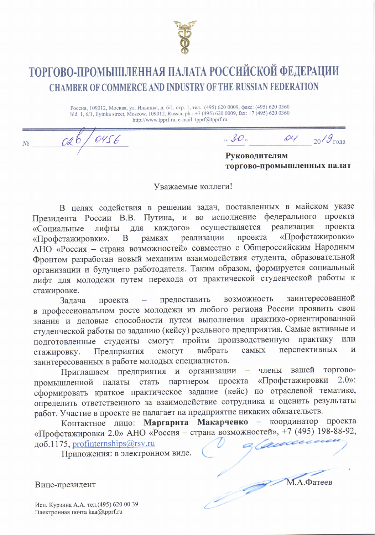

## ТОРГОВО-ПРОМЫШЛЕННАЯ ПАЛАТА РОССИЙСКОЙ ФЕДЕРАЦИИ **CHAMBER OF COMMERCE AND INDUSTRY OF THE RUSSIAN FEDERATION**

Россия, 109012, Москва, ул. Ильинка, д. 6/1, стр. 1, тел.: (495) 620 0009, факс: (495) 620 0360<br>bld. 1, 6/1, Ilyinka street, Moscow, 109012, Russia, ph.: +7 (495) 620 0009, fax: +7 (495) 620 0360 http://www.tpprf.ru, e-mail: tpprf@tpprf.ru

 $O<sub>4</sub>$  $30.$  $20/9$  года

Руководителям торгово-промышленных палат

М.А.Фатеев

Уважаемые коллеги!

В целях содействия в решении задач, поставленных в майском указе проекта федерального Президента России В.В. Путина, **BO** исполнение  $\overline{\mathbf{M}}$ реализация осуществляется проекта каждого» лифты ДЛЯ «Социальные «Профстажировки» проекта реализации «Профстажировки». B рамках АНО «Россия - страна возможностей» совместно с Общероссийским Народным Фронтом разработан новый механизм взаимодействия студента, образовательной организации и будущего работодателя. Таким образом, формируется социальный лифт для молодежи путем перехода от практической студенческой работы к стажировке.

заинтересованной предоставить возможность Задача проекта в профессиональном росте молодежи из любого региона России проявить свои знания и деловые способности путем выполнения практико-ориентированной студенческой работы по заданию (кейсу) реального предприятия. Самые активные и подготовленные студенты смогут пройти производственную практику ИЛИ перспективных смогут выбрать самых  $\mathbf{M}$ Предприятия стажировку. заинтересованных в работе молодых специалистов.

члены вашей торгово-Приглашаем предприятия и организации  $\overline{\phantom{0}}$ стать партнером проекта «Профстажировки  $2.0$ »: палаты промышленной сформировать краткое практическое задание (кейс) по отраслевой тематике, определить ответственного за взаимодействие сотрудника и оценить результаты работ. Участие в проекте не налагает на предприятие никаких обязательств.

Контактное лицо: Маргарита Макарченко - координатор проекта «Профстажировки 2.0» АНО «Россия - страна возможностей», +7 (495) 198-88-92, доб.1175, profinternships@rsv.ru

Приложения: в электронном виде.

Вице-президент

Исп. Курзина А.А. тел. (495) 620 00 39 Электронная почта kaa@tpprf.ru